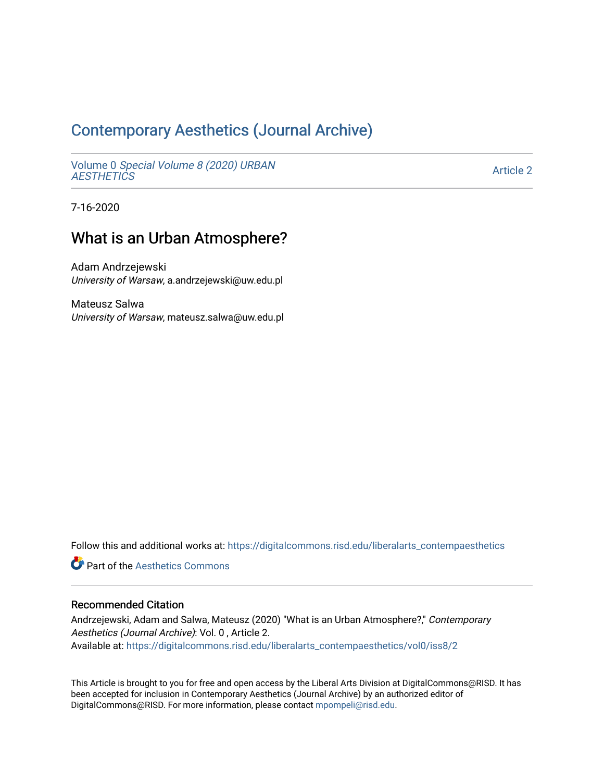# [Contemporary Aesthetics \(Journal Archive\)](https://digitalcommons.risd.edu/liberalarts_contempaesthetics)

Volume 0 [Special Volume 8 \(2020\) URBAN](https://digitalcommons.risd.edu/liberalarts_contempaesthetics/vol0)  **AESTHETICS** 

[Article 2](https://digitalcommons.risd.edu/liberalarts_contempaesthetics/vol0/iss8/2) 

7-16-2020

## What is an Urban Atmosphere?

Adam Andrzejewski University of Warsaw, a.andrzejewski@uw.edu.pl

Mateusz Salwa University of Warsaw, mateusz.salwa@uw.edu.pl

Follow this and additional works at: [https://digitalcommons.risd.edu/liberalarts\\_contempaesthetics](https://digitalcommons.risd.edu/liberalarts_contempaesthetics?utm_source=digitalcommons.risd.edu%2Fliberalarts_contempaesthetics%2Fvol0%2Fiss8%2F2&utm_medium=PDF&utm_campaign=PDFCoverPages) 

**C** Part of the Aesthetics Commons

#### Recommended Citation

Andrzejewski, Adam and Salwa, Mateusz (2020) "What is an Urban Atmosphere?," Contemporary Aesthetics (Journal Archive): Vol. 0 , Article 2. Available at: [https://digitalcommons.risd.edu/liberalarts\\_contempaesthetics/vol0/iss8/2](https://digitalcommons.risd.edu/liberalarts_contempaesthetics/vol0/iss8/2?utm_source=digitalcommons.risd.edu%2Fliberalarts_contempaesthetics%2Fvol0%2Fiss8%2F2&utm_medium=PDF&utm_campaign=PDFCoverPages)

This Article is brought to you for free and open access by the Liberal Arts Division at DigitalCommons@RISD. It has been accepted for inclusion in Contemporary Aesthetics (Journal Archive) by an authorized editor of DigitalCommons@RISD. For more information, please contact [mpompeli@risd.edu](mailto:mpompeli@risd.edu).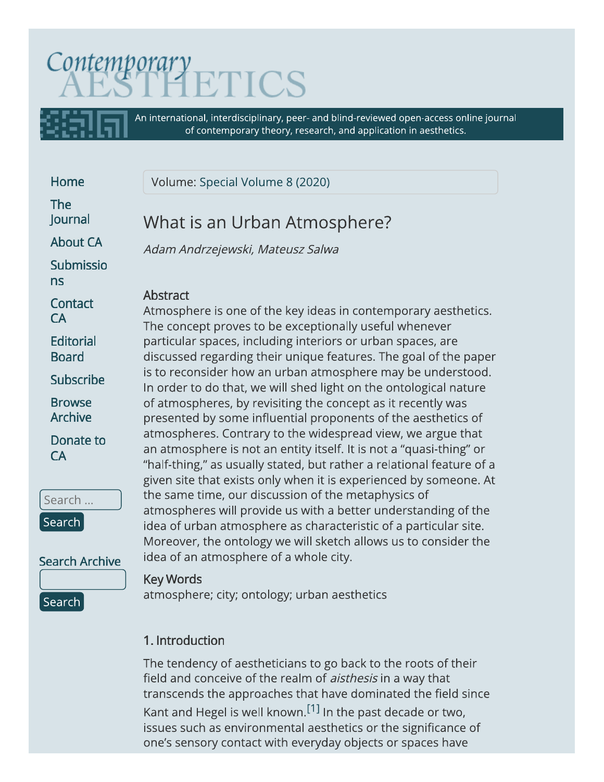# Contemporary

An international, interdisciplinary, peer- and blind-reviewed open-access online journal of contemporary theory, research, and application in aesthetics.

Home

**The lournal** 

**About CA** 

**Submissio**  $ns$ 

Contact  $CA$ 

**Editorial Board** 

**Subscribe** 

**Browse Archive** 

Donate to **CA** 

Search ... Search

**Search Archive** 

Search

# **Key Words**

atmosphere; city; ontology; urban aesthetics

# 1. Introduction

The tendency of aestheticians to go back to the roots of their field and conceive of the realm of *aisthesis* in a way that transcends the approaches that have dominated the field since Kant and Hegel is well known.<sup>[1]</sup> In the past decade or two, issues such as environmental aesthetics or the significance of one's sensory contact with everyday objects or spaces have

Volume: Special Volume 8 (2020)

# What is an Urban Atmosphere?

Adam Andrzejewski, Mateusz Salwa

## Abstract

Atmosphere is one of the key ideas in contemporary aesthetics. The concept proves to be exceptionally useful whenever particular spaces, including interiors or urban spaces, are discussed regarding their unique features. The goal of the paper is to reconsider how an urban atmosphere may be understood. In order to do that, we will shed light on the ontological nature of atmospheres, by revisiting the concept as it recently was presented by some influential proponents of the aesthetics of atmospheres. Contrary to the widespread view, we argue that an atmosphere is not an entity itself. It is not a "quasi-thing" or "half-thing," as usually stated, but rather a relational feature of a given site that exists only when it is experienced by someone. At the same time, our discussion of the metaphysics of atmospheres will provide us with a better understanding of the idea of urban atmosphere as characteristic of a particular site. Moreover, the ontology we will sketch allows us to consider the idea of an atmosphere of a whole city.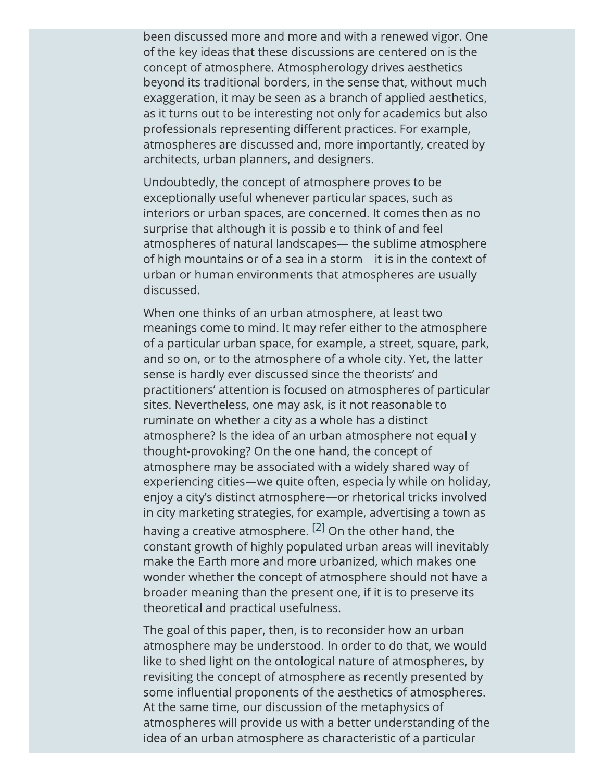been discussed more and more and with a renewed vigor. One of the key ideas that these discussions are centered on is the concept of atmosphere. Atmospherology drives aesthetics beyond its traditional borders, in the sense that, without much exaggeration, it may be seen as a branch of applied aesthetics, as it turns out to be interesting not only for academics but also professionals representing different practices. For example, atmospheres are discussed and, more importantly, created by architects, urban planners, and designers.

Undoubtedly, the concept of atmosphere proves to be exceptionally useful whenever particular spaces, such as interiors or urban spaces, are concerned. It comes then as no surprise that although it is possible to think of and feel atmospheres of natural landscapes— the sublime atmosphere of high mountains or of a sea in a storm-it is in the context of urban or human environments that atmospheres are usually discussed.

When one thinks of an urban atmosphere, at least two meanings come to mind. It may refer either to the atmosphere of a particular urban space, for example, a street, square, park, and so on, or to the atmosphere of a whole city. Yet, the latter sense is hardly ever discussed since the theorists' and practitioners' attention is focused on atmospheres of particular sites. Nevertheless, one may ask, is it not reasonable to ruminate on whether a city as a whole has a distinct atmosphere? Is the idea of an urban atmosphere not equally thought-provoking? On the one hand, the concept of atmosphere may be associated with a widely shared way of experiencing cities—we quite often, especially while on holiday, enjoy a city's distinct atmosphere-or rhetorical tricks involved in city marketing strategies, for example, advertising a town as having a creative atmosphere. <sup>[2]</sup> On the other hand, the constant growth of highly populated urban areas will inevitably make the Earth more and more urbanized, which makes one wonder whether the concept of atmosphere should not have a broader meaning than the present one, if it is to preserve its theoretical and practical usefulness.

The goal of this paper, then, is to reconsider how an urban atmosphere may be understood. In order to do that, we would like to shed light on the ontological nature of atmospheres, by revisiting the concept of atmosphere as recently presented by some influential proponents of the aesthetics of atmospheres. At the same time, our discussion of the metaphysics of atmospheres will provide us with a better understanding of the idea of an urban atmosphere as characteristic of a particular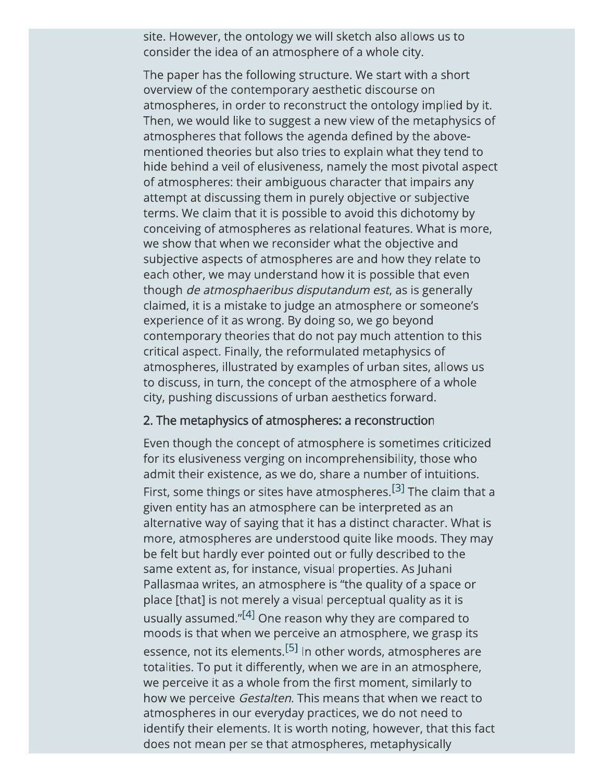site. However, the ontology we will sketch also allows us to consider the idea of an atmosphere of a whole city.

The paper has the following structure. We start with a short overview of the contemporary aesthetic discourse on atmospheres, in order to reconstruct the ontology implied by it. Then, we would like to suggest a new view of the metaphysics of atmospheres that follows the agenda defined by the abovementioned theories but also tries to explain what they tend to hide behind a veil of elusiveness, namely the most pivotal aspect of atmospheres: their ambiguous character that impairs any attempt at discussing them in purely objective or subjective terms. We claim that it is possible to avoid this dichotomy by conceiving of atmospheres as relational features. What is more, we show that when we reconsider what the objective and subjective aspects of atmospheres are and how they relate to each other, we may understand how it is possible that even though *de atmosphaeribus disputandum est*, as is generally claimed, it is a mistake to judge an atmosphere or someone's experience of it as wrong. By doing so, we go beyond contemporary theories that do not pay much attention to this critical aspect. Finally, the reformulated metaphysics of atmospheres, illustrated by examples of urban sites, allows us to discuss, in turn, the concept of the atmosphere of a whole city, pushing discussions of urban aesthetics forward.

#### 2. The metaphysics of atmospheres: a reconstruction

Even though the concept of atmosphere is sometimes criticized for its elusiveness verging on incomprehensibility, those who admit their existence, as we do, share a number of intuitions. First, some things or sites have atmospheres.<sup>[3]</sup> The claim that a given entity has an atmosphere can be interpreted as an alternative way of saying that it has a distinct character. What is more, atmospheres are understood quite like moods. They may be felt but hardly ever pointed out or fully described to the same extent as, for instance, visual properties. As Juhani Pallasmaa writes, an atmosphere is "the quality of a space or place [that] is not merely a visual perceptual quality as it is usually assumed."<sup>[4]</sup> One reason why they are compared to moods is that when we perceive an atmosphere, we grasp its essence, not its elements.<sup>[5]</sup> In other words, atmospheres are totalities. To put it differently, when we are in an atmosphere, we perceive it as a whole from the first moment, similarly to how we perceive Gestalten. This means that when we react to atmospheres in our everyday practices, we do not need to identify their elements. It is worth noting, however, that this fact does not mean per se that atmospheres, metaphysically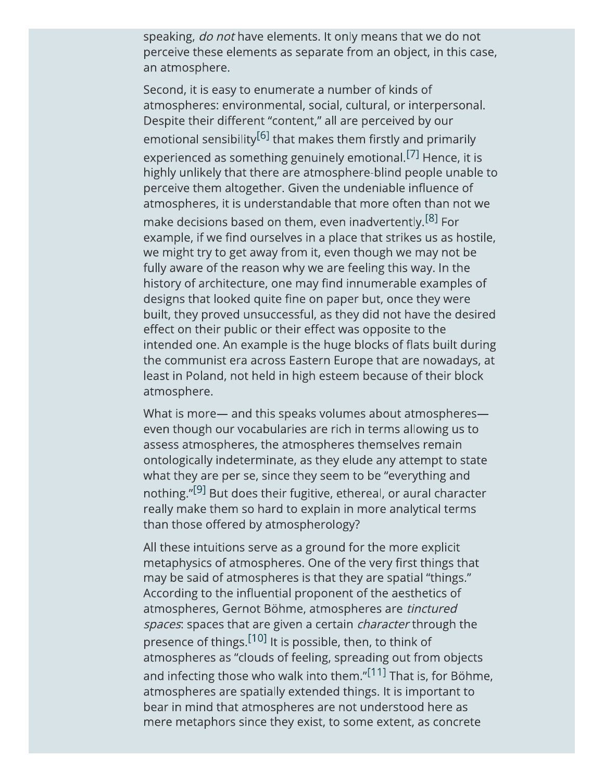speaking, do not have elements. It only means that we do not perceive these elements as separate from an object, in this case, an atmosphere.

Second, it is easy to enumerate a number of kinds of atmospheres: environmental, social, cultural, or interpersonal. Despite their different "content," all are perceived by our emotional sensibility<sup>[6]</sup> that makes them firstly and primarily experienced as something genuinely emotional.<sup>[7]</sup> Hence, it is highly unlikely that there are atmosphere-blind people unable to perceive them altogether. Given the undeniable influence of atmospheres, it is understandable that more often than not we make decisions based on them, even inadvertently.<sup>[8]</sup> For example, if we find ourselves in a place that strikes us as hostile, we might try to get away from it, even though we may not be

fully aware of the reason why we are feeling this way. In the history of architecture, one may find innumerable examples of designs that looked quite fine on paper but, once they were built, they proved unsuccessful, as they did not have the desired effect on their public or their effect was opposite to the intended one. An example is the huge blocks of flats built during the communist era across Eastern Europe that are nowadays, at least in Poland, not held in high esteem because of their block atmosphere.

What is more- and this speaks volumes about atmosphereseven though our vocabularies are rich in terms allowing us to assess atmospheres, the atmospheres themselves remain ontologically indeterminate, as they elude any attempt to state what they are per se, since they seem to be "everything and nothing."<sup>[9]</sup> But does their fugitive, ethereal, or aural character really make them so hard to explain in more analytical terms than those offered by atmospherology?

All these intuitions serve as a ground for the more explicit metaphysics of atmospheres. One of the very first things that may be said of atmospheres is that they are spatial "things." According to the influential proponent of the aesthetics of atmospheres, Gernot Böhme, atmospheres are tinctured spaces: spaces that are given a certain *character* through the presence of things.<sup>[10]</sup> It is possible, then, to think of atmospheres as "clouds of feeling, spreading out from objects and infecting those who walk into them."[11] That is, for Böhme, atmospheres are spatially extended things. It is important to bear in mind that atmospheres are not understood here as mere metaphors since they exist, to some extent, as concrete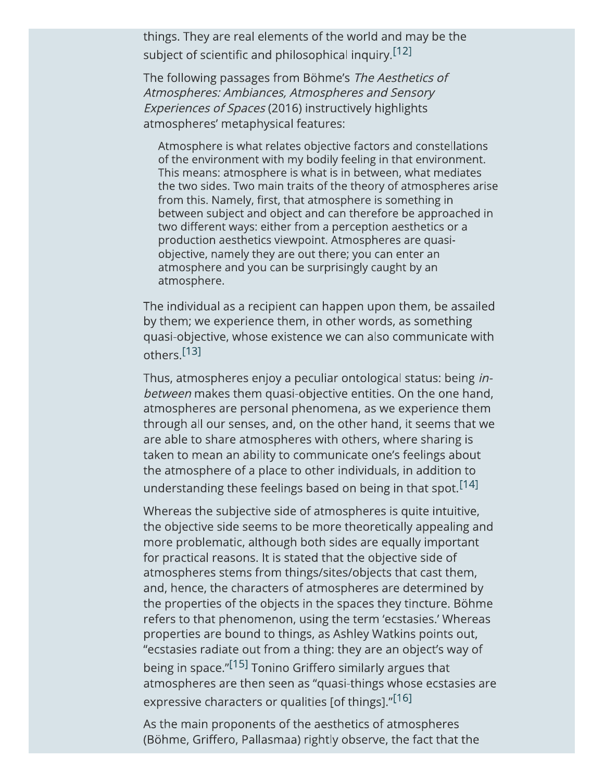things. They are real elements of the world and may be the subject of scientific and philosophical inquiry.<sup>[12]</sup>

The following passages from Böhme's The Aesthetics of Atmospheres: Ambiances, Atmospheres and Sensory Experiences of Spaces (2016) instructively highlights atmospheres' metaphysical features:

Atmosphere is what relates objective factors and constellations of the environment with my bodily feeling in that environment. This means: atmosphere is what is in between, what mediates the two sides. Two main traits of the theory of atmospheres arise from this. Namely, first, that atmosphere is something in between subject and object and can therefore be approached in two different ways: either from a perception aesthetics or a production aesthetics viewpoint. Atmospheres are quasiobjective, namely they are out there; you can enter an atmosphere and you can be surprisingly caught by an atmosphere.

The individual as a recipient can happen upon them, be assailed by them; we experience them, in other words, as something quasi-objective, whose existence we can also communicate with others.<sup>[13]</sup>

Thus, atmospheres enjoy a peculiar ontological status: being inbetween makes them quasi-objective entities. On the one hand, atmospheres are personal phenomena, as we experience them through all our senses, and, on the other hand, it seems that we are able to share atmospheres with others, where sharing is taken to mean an ability to communicate one's feelings about the atmosphere of a place to other individuals, in addition to understanding these feelings based on being in that spot.<sup>[14]</sup>

Whereas the subjective side of atmospheres is quite intuitive, the objective side seems to be more theoretically appealing and more problematic, although both sides are equally important for practical reasons. It is stated that the objective side of atmospheres stems from things/sites/objects that cast them, and, hence, the characters of atmospheres are determined by the properties of the objects in the spaces they tincture. Böhme refers to that phenomenon, using the term 'ecstasies.' Whereas properties are bound to things, as Ashley Watkins points out, "ecstasies radiate out from a thing: they are an object's way of being in space."<sup>[15]</sup> Tonino Griffero similarly argues that atmospheres are then seen as "quasi-things whose ecstasies are expressive characters or qualities [of things]."[16]

As the main proponents of the aesthetics of atmospheres (Böhme, Griffero, Pallasmaa) rightly observe, the fact that the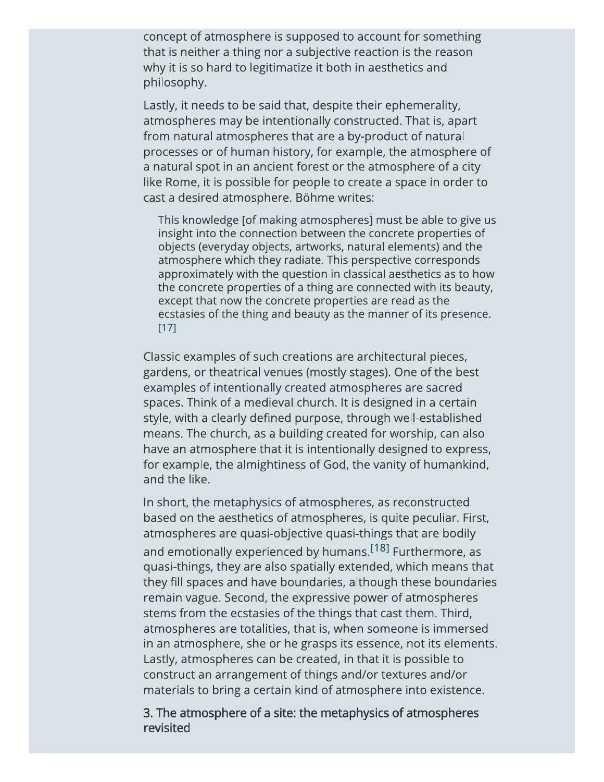concept of atmosphere is supposed to account for something that is neither a thing nor a subjective reaction is the reason why it is so hard to legitimatize it both in aesthetics and philosophy.

Lastly, it needs to be said that, despite their ephemerality, atmospheres may be intentionally constructed. That is, apart from natural atmospheres that are a by-product of natural processes or of human history, for example, the atmosphere of a natural spot in an ancient forest or the atmosphere of a city like Rome, it is possible for people to create a space in order to cast a desired atmosphere. Böhme writes:

This knowledge [of making atmospheres] must be able to give us insight into the connection between the concrete properties of objects (everyday objects, artworks, natural elements) and the atmosphere which they radiate. This perspective corresponds approximately with the question in classical aesthetics as to how the concrete properties of a thing are connected with its beauty, except that now the concrete properties are read as the ecstasies of the thing and beauty as the manner of its presence.  $[17]$ 

Classic examples of such creations are architectural pieces, gardens, or theatrical venues (mostly stages). One of the best examples of intentionally created atmospheres are sacred spaces. Think of a medieval church. It is designed in a certain style, with a clearly defined purpose, through well-established means. The church, as a building created for worship, can also have an atmosphere that it is intentionally designed to express, for example, the almightiness of God, the vanity of humankind, and the like.

In short, the metaphysics of atmospheres, as reconstructed based on the aesthetics of atmospheres, is quite peculiar. First, atmospheres are quasi-objective quasi-things that are bodily and emotionally experienced by humans.<sup>[18]</sup> Furthermore, as quasi-things, they are also spatially extended, which means that they fill spaces and have boundaries, although these boundaries remain vague. Second, the expressive power of atmospheres stems from the ecstasies of the things that cast them. Third, atmospheres are totalities, that is, when someone is immersed in an atmosphere, she or he grasps its essence, not its elements. Lastly, atmospheres can be created, in that it is possible to construct an arrangement of things and/or textures and/or materials to bring a certain kind of atmosphere into existence.

3. The atmosphere of a site: the metaphysics of atmospheres revisited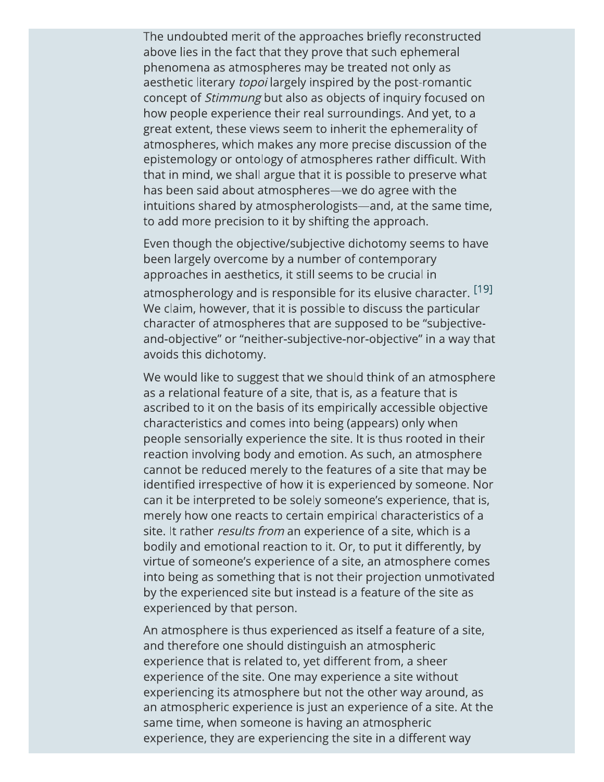The undoubted merit of the approaches briefly reconstructed above lies in the fact that they prove that such ephemeral phenomena as atmospheres may be treated not only as aesthetic literary topoi largely inspired by the post-romantic concept of *Stimmung* but also as objects of inquiry focused on how people experience their real surroundings. And yet, to a great extent, these views seem to inherit the ephemerality of atmospheres, which makes any more precise discussion of the epistemology or ontology of atmospheres rather difficult. With that in mind, we shall argue that it is possible to preserve what has been said about atmospheres-we do agree with the intuitions shared by atmospherologists—and, at the same time, to add more precision to it by shifting the approach.

Even though the objective/subjective dichotomy seems to have been largely overcome by a number of contemporary approaches in aesthetics, it still seems to be crucial in atmospherology and is responsible for its elusive character. [19] We claim, however, that it is possible to discuss the particular character of atmospheres that are supposed to be "subjectiveand-objective" or "neither-subjective-nor-objective" in a way that avoids this dichotomy.

We would like to suggest that we should think of an atmosphere as a relational feature of a site, that is, as a feature that is ascribed to it on the basis of its empirically accessible objective characteristics and comes into being (appears) only when people sensorially experience the site. It is thus rooted in their reaction involving body and emotion. As such, an atmosphere cannot be reduced merely to the features of a site that may be identified irrespective of how it is experienced by someone. Nor can it be interpreted to be solely someone's experience, that is, merely how one reacts to certain empirical characteristics of a site. It rather results from an experience of a site, which is a bodily and emotional reaction to it. Or, to put it differently, by virtue of someone's experience of a site, an atmosphere comes into being as something that is not their projection unmotivated by the experienced site but instead is a feature of the site as experienced by that person.

An atmosphere is thus experienced as itself a feature of a site, and therefore one should distinguish an atmospheric experience that is related to, yet different from, a sheer experience of the site. One may experience a site without experiencing its atmosphere but not the other way around, as an atmospheric experience is just an experience of a site. At the same time, when someone is having an atmospheric experience, they are experiencing the site in a different way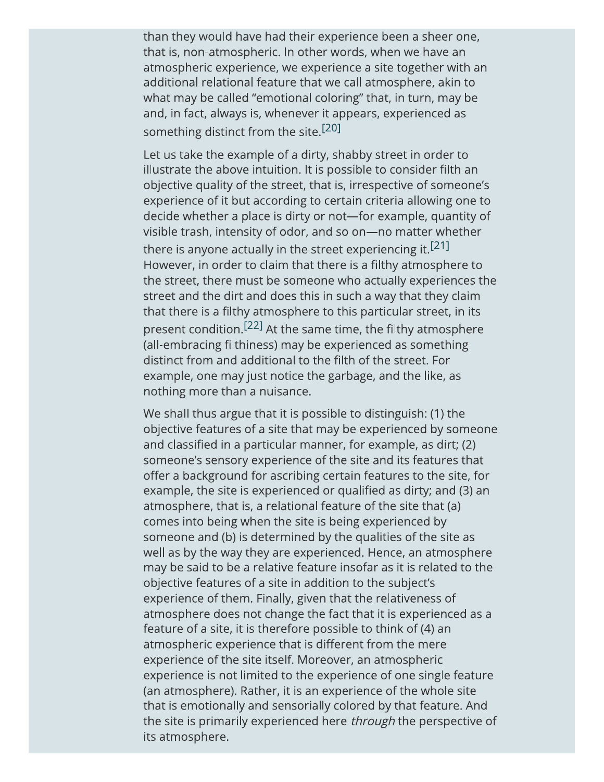than they would have had their experience been a sheer one, that is, non-atmospheric. In other words, when we have an atmospheric experience, we experience a site together with an additional relational feature that we call atmosphere, akin to what may be called "emotional coloring" that, in turn, may be and, in fact, always is, whenever it appears, experienced as something distinct from the site.<sup>[20]</sup>

Let us take the example of a dirty, shabby street in order to illustrate the above intuition. It is possible to consider filth an objective quality of the street, that is, irrespective of someone's experience of it but according to certain criteria allowing one to decide whether a place is dirty or not—for example, quantity of visible trash, intensity of odor, and so on-no matter whether there is anyone actually in the street experiencing it.<sup>[21]</sup> However, in order to claim that there is a filthy atmosphere to the street, there must be someone who actually experiences the street and the dirt and does this in such a way that they claim that there is a filthy atmosphere to this particular street, in its present condition.<sup>[22]</sup> At the same time, the filthy atmosphere (all-embracing filthiness) may be experienced as something distinct from and additional to the filth of the street. For example, one may just notice the garbage, and the like, as nothing more than a nuisance.

We shall thus argue that it is possible to distinguish: (1) the objective features of a site that may be experienced by someone and classified in a particular manner, for example, as dirt; (2) someone's sensory experience of the site and its features that offer a background for ascribing certain features to the site, for example, the site is experienced or qualified as dirty; and (3) an atmosphere, that is, a relational feature of the site that (a) comes into being when the site is being experienced by someone and (b) is determined by the qualities of the site as well as by the way they are experienced. Hence, an atmosphere may be said to be a relative feature insofar as it is related to the objective features of a site in addition to the subject's experience of them. Finally, given that the relativeness of atmosphere does not change the fact that it is experienced as a feature of a site, it is therefore possible to think of (4) an atmospheric experience that is different from the mere experience of the site itself. Moreover, an atmospheric experience is not limited to the experience of one single feature (an atmosphere). Rather, it is an experience of the whole site that is emotionally and sensorially colored by that feature. And the site is primarily experienced here *through* the perspective of its atmosphere.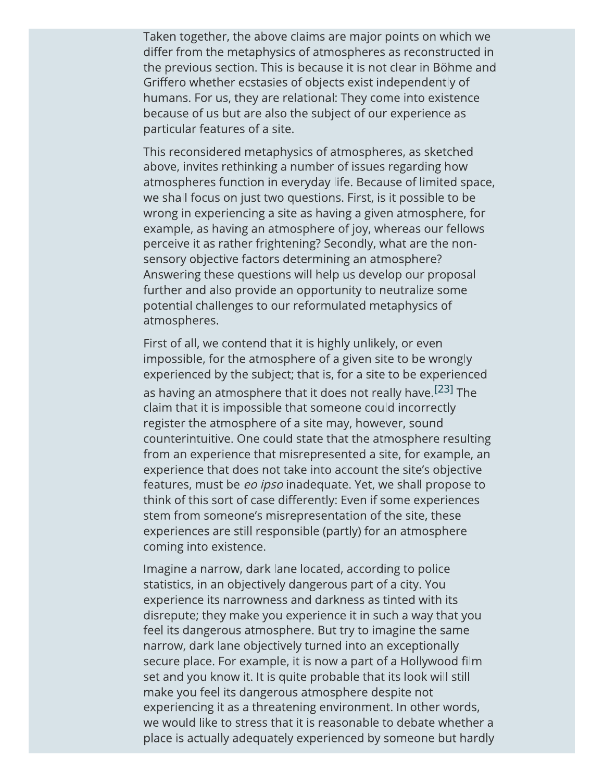Taken together, the above claims are major points on which we differ from the metaphysics of atmospheres as reconstructed in the previous section. This is because it is not clear in Böhme and Griffero whether ecstasies of objects exist independently of humans. For us, they are relational: They come into existence because of us but are also the subject of our experience as particular features of a site.

This reconsidered metaphysics of atmospheres, as sketched above, invites rethinking a number of issues regarding how atmospheres function in everyday life. Because of limited space, we shall focus on just two questions. First, is it possible to be wrong in experiencing a site as having a given atmosphere, for example, as having an atmosphere of joy, whereas our fellows perceive it as rather frightening? Secondly, what are the nonsensory objective factors determining an atmosphere? Answering these questions will help us develop our proposal further and also provide an opportunity to neutralize some potential challenges to our reformulated metaphysics of atmospheres.

First of all, we contend that it is highly unlikely, or even impossible, for the atmosphere of a given site to be wrongly experienced by the subject; that is, for a site to be experienced as having an atmosphere that it does not really have.<sup>[23]</sup> The claim that it is impossible that someone could incorrectly register the atmosphere of a site may, however, sound counterintuitive. One could state that the atmosphere resulting from an experience that misrepresented a site, for example, an experience that does not take into account the site's objective features, must be eo ipso inadequate. Yet, we shall propose to think of this sort of case differently: Even if some experiences stem from someone's misrepresentation of the site, these experiences are still responsible (partly) for an atmosphere coming into existence.

Imagine a narrow, dark lane located, according to police statistics, in an objectively dangerous part of a city. You experience its narrowness and darkness as tinted with its disrepute; they make you experience it in such a way that you feel its dangerous atmosphere. But try to imagine the same narrow, dark lane objectively turned into an exceptionally secure place. For example, it is now a part of a Hollywood film set and you know it. It is quite probable that its look will still make you feel its dangerous atmosphere despite not experiencing it as a threatening environment. In other words, we would like to stress that it is reasonable to debate whether a place is actually adequately experienced by someone but hardly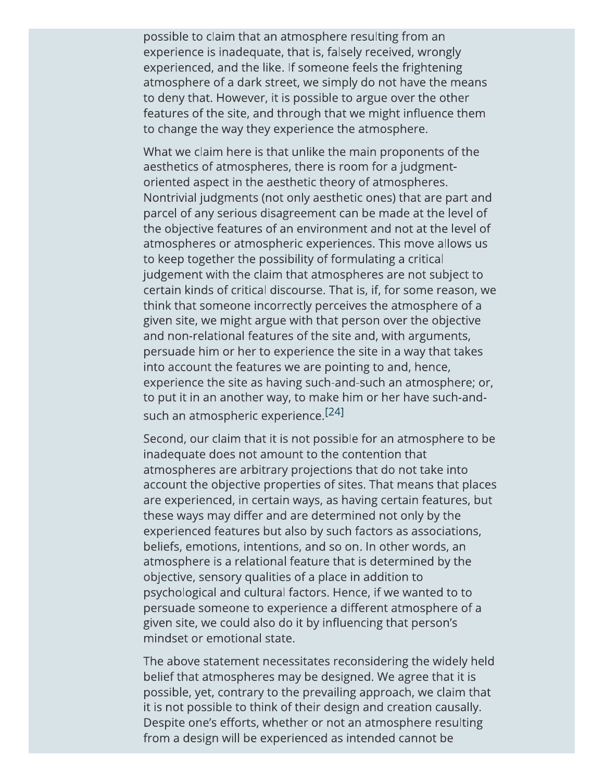possible to claim that an atmosphere resulting from an experience is inadequate, that is, falsely received, wrongly experienced, and the like. If someone feels the frightening atmosphere of a dark street, we simply do not have the means to deny that. However, it is possible to argue over the other features of the site, and through that we might influence them to change the way they experience the atmosphere.

What we claim here is that unlike the main proponents of the aesthetics of atmospheres, there is room for a judgmentoriented aspect in the aesthetic theory of atmospheres. Nontrivial judgments (not only aesthetic ones) that are part and parcel of any serious disagreement can be made at the level of the objective features of an environment and not at the level of atmospheres or atmospheric experiences. This move allows us to keep together the possibility of formulating a critical judgement with the claim that atmospheres are not subject to certain kinds of critical discourse. That is, if, for some reason, we think that someone incorrectly perceives the atmosphere of a given site, we might argue with that person over the objective and non-relational features of the site and, with arguments, persuade him or her to experience the site in a way that takes into account the features we are pointing to and, hence, experience the site as having such-and-such an atmosphere; or, to put it in an another way, to make him or her have such-andsuch an atmospheric experience.<sup>[24]</sup>

Second, our claim that it is not possible for an atmosphere to be inadequate does not amount to the contention that atmospheres are arbitrary projections that do not take into account the objective properties of sites. That means that places are experienced, in certain ways, as having certain features, but these ways may differ and are determined not only by the experienced features but also by such factors as associations, beliefs, emotions, intentions, and so on. In other words, an atmosphere is a relational feature that is determined by the objective, sensory qualities of a place in addition to psychological and cultural factors. Hence, if we wanted to to persuade someone to experience a different atmosphere of a given site, we could also do it by influencing that person's mindset or emotional state.

The above statement necessitates reconsidering the widely held belief that atmospheres may be designed. We agree that it is possible, yet, contrary to the prevailing approach, we claim that it is not possible to think of their design and creation causally. Despite one's efforts, whether or not an atmosphere resulting from a design will be experienced as intended cannot be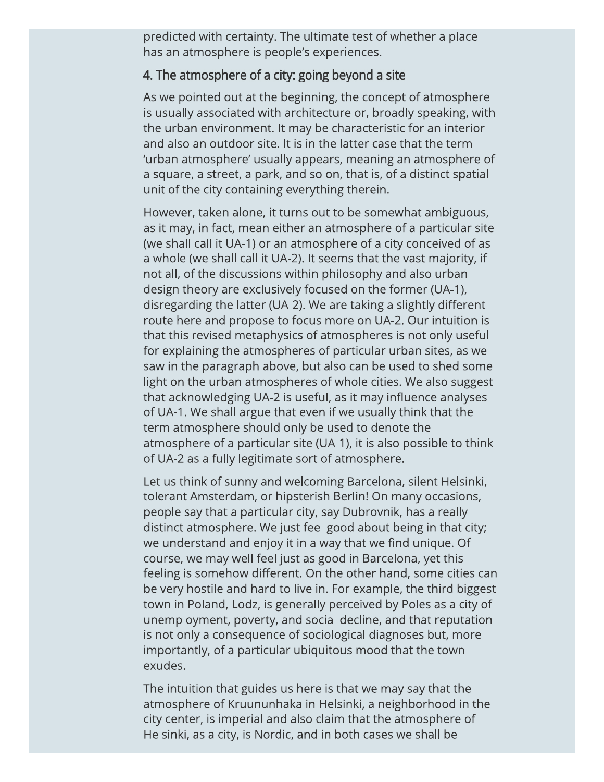predicted with certainty. The ultimate test of whether a place has an atmosphere is people's experiences.

#### 4. The atmosphere of a city: going beyond a site

As we pointed out at the beginning, the concept of atmosphere is usually associated with architecture or, broadly speaking, with the urban environment. It may be characteristic for an interior and also an outdoor site. It is in the latter case that the term 'urban atmosphere' usually appears, meaning an atmosphere of a square, a street, a park, and so on, that is, of a distinct spatial unit of the city containing everything therein.

However, taken alone, it turns out to be somewhat ambiguous, as it may, in fact, mean either an atmosphere of a particular site (we shall call it UA-1) or an atmosphere of a city conceived of as a whole (we shall call it UA-2). It seems that the vast majority, if not all, of the discussions within philosophy and also urban design theory are exclusively focused on the former (UA-1), disregarding the latter (UA-2). We are taking a slightly different route here and propose to focus more on UA-2. Our intuition is that this revised metaphysics of atmospheres is not only useful for explaining the atmospheres of particular urban sites, as we saw in the paragraph above, but also can be used to shed some light on the urban atmospheres of whole cities. We also suggest that acknowledging UA-2 is useful, as it may influence analyses of UA-1. We shall argue that even if we usually think that the term atmosphere should only be used to denote the atmosphere of a particular site (UA-1), it is also possible to think of UA-2 as a fully legitimate sort of atmosphere.

Let us think of sunny and welcoming Barcelona, silent Helsinki, tolerant Amsterdam, or hipsterish Berlin! On many occasions, people say that a particular city, say Dubrovnik, has a really distinct atmosphere. We just feel good about being in that city; we understand and enjoy it in a way that we find unique. Of course, we may well feel just as good in Barcelona, yet this feeling is somehow different. On the other hand, some cities can be very hostile and hard to live in. For example, the third biggest town in Poland, Lodz, is generally perceived by Poles as a city of unemployment, poverty, and social decline, and that reputation is not only a consequence of sociological diagnoses but, more importantly, of a particular ubiquitous mood that the town exudes.

The intuition that guides us here is that we may say that the atmosphere of Kruununhaka in Helsinki, a neighborhood in the city center, is imperial and also claim that the atmosphere of Helsinki, as a city, is Nordic, and in both cases we shall be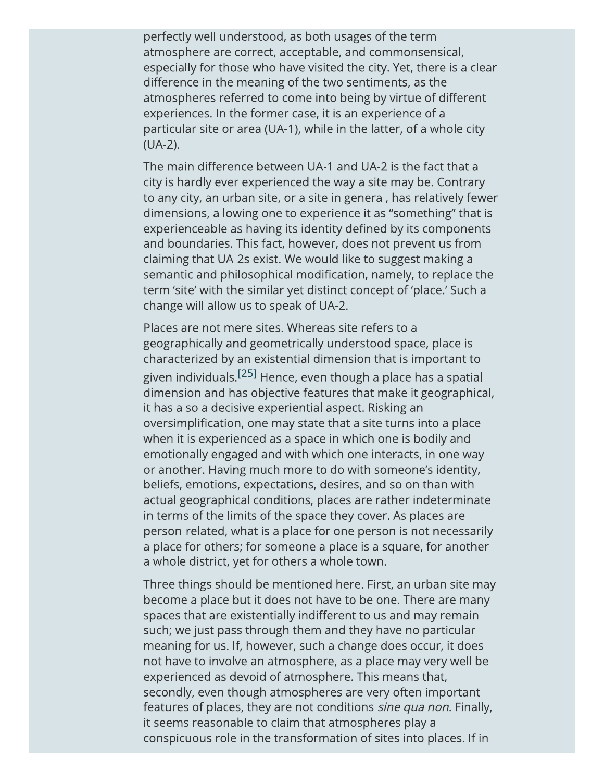perfectly well understood, as both usages of the term atmosphere are correct, acceptable, and commonsensical, especially for those who have visited the city. Yet, there is a clear difference in the meaning of the two sentiments, as the atmospheres referred to come into being by virtue of different experiences. In the former case, it is an experience of a particular site or area (UA-1), while in the latter, of a whole city  $(UA-2)$ .

The main difference between UA-1 and UA-2 is the fact that a city is hardly ever experienced the way a site may be. Contrary to any city, an urban site, or a site in general, has relatively fewer dimensions, allowing one to experience it as "something" that is experienceable as having its identity defined by its components and boundaries. This fact, however, does not prevent us from claiming that UA-2s exist. We would like to suggest making a semantic and philosophical modification, namely, to replace the term 'site' with the similar yet distinct concept of 'place.' Such a change will allow us to speak of UA-2.

Places are not mere sites. Whereas site refers to a geographically and geometrically understood space, place is characterized by an existential dimension that is important to given individuals.<sup>[25]</sup> Hence, even though a place has a spatial dimension and has objective features that make it geographical, it has also a decisive experiential aspect. Risking an oversimplification, one may state that a site turns into a place when it is experienced as a space in which one is bodily and emotionally engaged and with which one interacts, in one way or another. Having much more to do with someone's identity, beliefs, emotions, expectations, desires, and so on than with actual geographical conditions, places are rather indeterminate in terms of the limits of the space they cover. As places are person-related, what is a place for one person is not necessarily a place for others; for someone a place is a square, for another a whole district, yet for others a whole town.

Three things should be mentioned here. First, an urban site may become a place but it does not have to be one. There are many spaces that are existentially indifferent to us and may remain such; we just pass through them and they have no particular meaning for us. If, however, such a change does occur, it does not have to involve an atmosphere, as a place may very well be experienced as devoid of atmosphere. This means that, secondly, even though atmospheres are very often important features of places, they are not conditions *sine qua non*. Finally, it seems reasonable to claim that atmospheres play a conspicuous role in the transformation of sites into places. If in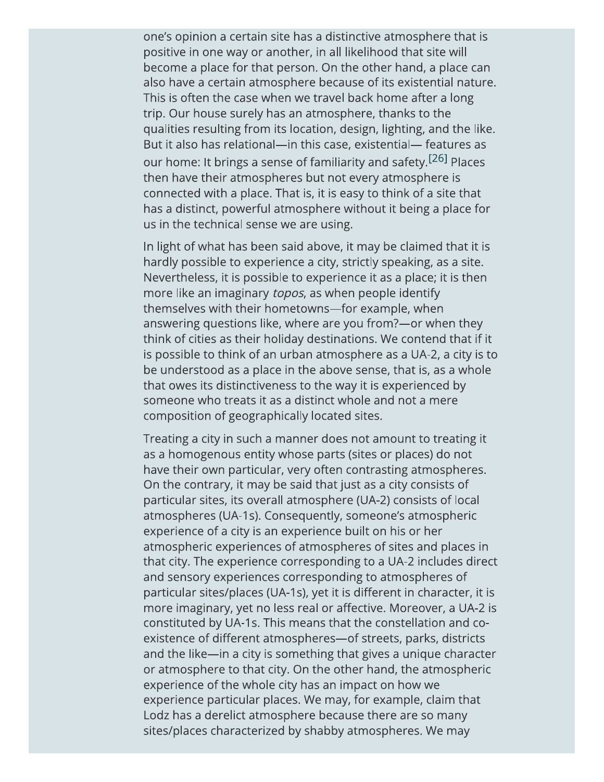one's opinion a certain site has a distinctive atmosphere that is positive in one way or another, in all likelihood that site will become a place for that person. On the other hand, a place can also have a certain atmosphere because of its existential nature. This is often the case when we travel back home after a long trip. Our house surely has an atmosphere, thanks to the qualities resulting from its location, design, lighting, and the like. But it also has relational-in this case, existential- features as our home: It brings a sense of familiarity and safety.<sup>[26]</sup> Places then have their atmospheres but not every atmosphere is connected with a place. That is, it is easy to think of a site that has a distinct, powerful atmosphere without it being a place for us in the technical sense we are using.

In light of what has been said above, it may be claimed that it is hardly possible to experience a city, strictly speaking, as a site. Nevertheless, it is possible to experience it as a place; it is then more like an imaginary topos, as when people identify themselves with their hometowns-for example, when answering questions like, where are you from?—or when they think of cities as their holiday destinations. We contend that if it is possible to think of an urban atmosphere as a UA-2, a city is to be understood as a place in the above sense, that is, as a whole that owes its distinctiveness to the way it is experienced by someone who treats it as a distinct whole and not a mere composition of geographically located sites.

Treating a city in such a manner does not amount to treating it as a homogenous entity whose parts (sites or places) do not have their own particular, very often contrasting atmospheres. On the contrary, it may be said that just as a city consists of particular sites, its overall atmosphere (UA-2) consists of local atmospheres (UA-1s). Consequently, someone's atmospheric experience of a city is an experience built on his or her atmospheric experiences of atmospheres of sites and places in that city. The experience corresponding to a UA-2 includes direct and sensory experiences corresponding to atmospheres of particular sites/places (UA-1s), yet it is different in character, it is more imaginary, yet no less real or affective. Moreover, a UA-2 is constituted by UA-1s. This means that the constellation and coexistence of different atmospheres-of streets, parks, districts and the like—in a city is something that gives a unique character or atmosphere to that city. On the other hand, the atmospheric experience of the whole city has an impact on how we experience particular places. We may, for example, claim that Lodz has a derelict atmosphere because there are so many sites/places characterized by shabby atmospheres. We may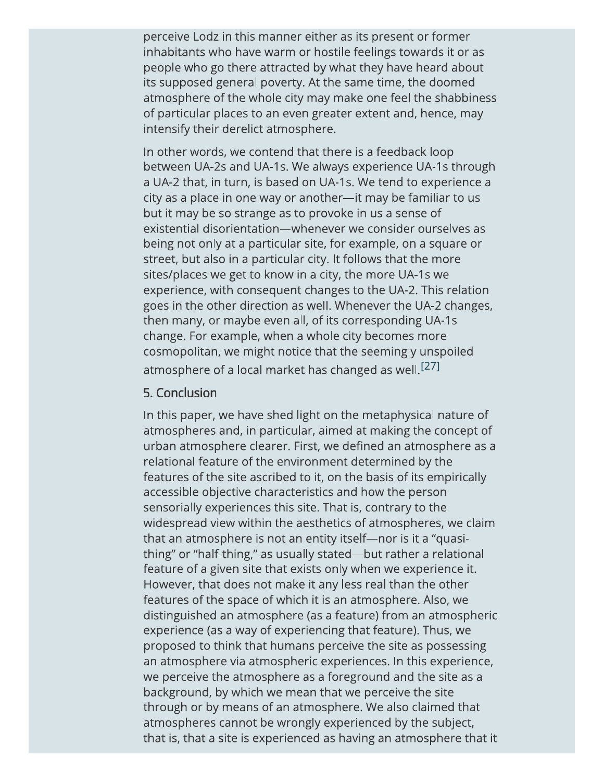perceive Lodz in this manner either as its present or former inhabitants who have warm or hostile feelings towards it or as people who go there attracted by what they have heard about its supposed general poverty. At the same time, the doomed atmosphere of the whole city may make one feel the shabbiness of particular places to an even greater extent and, hence, may intensify their derelict atmosphere.

In other words, we contend that there is a feedback loop between UA-2s and UA-1s. We always experience UA-1s through a UA-2 that, in turn, is based on UA-1s. We tend to experience a city as a place in one way or another-it may be familiar to us but it may be so strange as to provoke in us a sense of existential disorientation-whenever we consider ourselves as being not only at a particular site, for example, on a square or street, but also in a particular city. It follows that the more sites/places we get to know in a city, the more UA-1s we experience, with consequent changes to the UA-2. This relation goes in the other direction as well. Whenever the UA-2 changes, then many, or maybe even all, of its corresponding UA-1s change. For example, when a whole city becomes more cosmopolitan, we might notice that the seemingly unspoiled atmosphere of a local market has changed as well.<sup>[27]</sup>

#### 5. Conclusion

In this paper, we have shed light on the metaphysical nature of atmospheres and, in particular, aimed at making the concept of urban atmosphere clearer. First, we defined an atmosphere as a relational feature of the environment determined by the features of the site ascribed to it, on the basis of its empirically accessible objective characteristics and how the person sensorially experiences this site. That is, contrary to the widespread view within the aesthetics of atmospheres, we claim that an atmosphere is not an entity itself-nor is it a "quasithing" or "half-thing," as usually stated—but rather a relational feature of a given site that exists only when we experience it. However, that does not make it any less real than the other features of the space of which it is an atmosphere. Also, we distinguished an atmosphere (as a feature) from an atmospheric experience (as a way of experiencing that feature). Thus, we proposed to think that humans perceive the site as possessing an atmosphere via atmospheric experiences. In this experience, we perceive the atmosphere as a foreground and the site as a background, by which we mean that we perceive the site through or by means of an atmosphere. We also claimed that atmospheres cannot be wrongly experienced by the subject, that is, that a site is experienced as having an atmosphere that it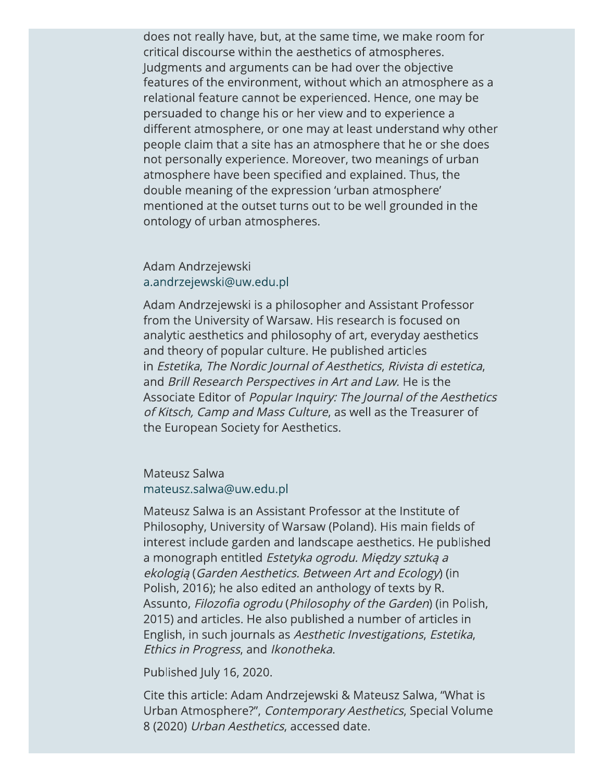does not really have, but, at the same time, we make room for critical discourse within the aesthetics of atmospheres. Judgments and arguments can be had over the objective features of the environment, without which an atmosphere as a relational feature cannot be experienced. Hence, one may be persuaded to change his or her view and to experience a different atmosphere, or one may at least understand why other people claim that a site has an atmosphere that he or she does not personally experience. Moreover, two meanings of urban atmosphere have been specified and explained. Thus, the double meaning of the expression 'urban atmosphere' mentioned at the outset turns out to be well grounded in the ontology of urban atmospheres.

Adam Andrzejewski a.andrzejewski@uw.edu.pl

Adam Andrzejewski is a philosopher and Assistant Professor from the University of Warsaw. His research is focused on analytic aesthetics and philosophy of art, everyday aesthetics and theory of popular culture. He published articles in Estetika, The Nordic Journal of Aesthetics, Rivista di estetica, and Brill Research Perspectives in Art and Law. He is the Associate Editor of Popular Inquiry: The Journal of the Aesthetics of Kitsch, Camp and Mass Culture, as well as the Treasurer of the European Society for Aesthetics.

Mateusz Salwa mateusz.salwa@uw.edu.pl

Mateusz Salwa is an Assistant Professor at the Institute of Philosophy, University of Warsaw (Poland). His main fields of interest include garden and landscape aesthetics. He published a monograph entitled Estetyka ogrodu. Między sztuką a ekologia (Garden Aesthetics. Between Art and Ecology) (in Polish, 2016); he also edited an anthology of texts by R. Assunto, Filozofia ogrodu (Philosophy of the Garden) (in Polish, 2015) and articles. He also published a number of articles in English, in such journals as Aesthetic Investigations, Estetika, Ethics in Progress, and Ikonotheka.

Published July 16, 2020.

Cite this article: Adam Andrzejewski & Mateusz Salwa, "What is Urban Atmosphere?", Contemporary Aesthetics, Special Volume 8 (2020) Urban Aesthetics, accessed date.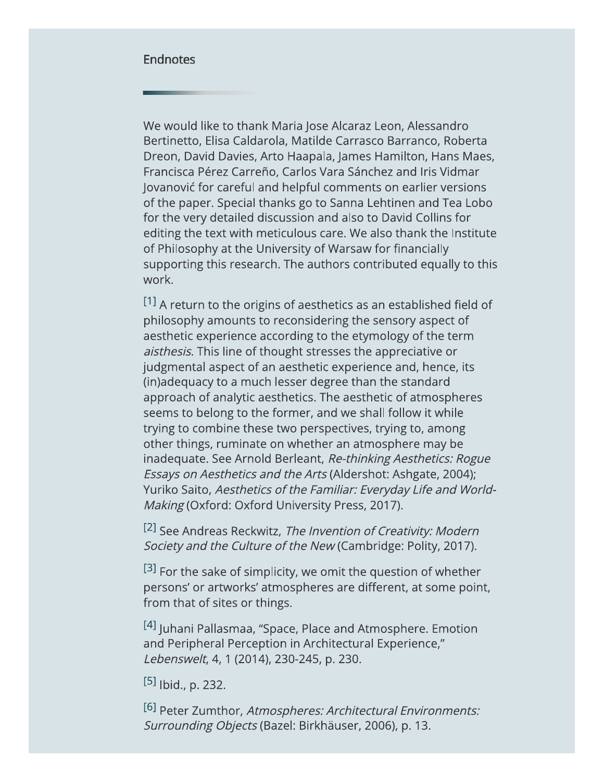#### **Endnotes**

We would like to thank Maria Jose Alcaraz Leon, Alessandro Bertinetto, Elisa Caldarola, Matilde Carrasco Barranco, Roberta Dreon, David Davies, Arto Haapala, James Hamilton, Hans Maes, Francisca Pérez Carreño, Carlos Vara Sánchez and Iris Vidmar Jovanović for careful and helpful comments on earlier versions of the paper. Special thanks go to Sanna Lehtinen and Tea Lobo for the very detailed discussion and also to David Collins for editing the text with meticulous care. We also thank the Institute of Philosophy at the University of Warsaw for financially supporting this research. The authors contributed equally to this work.

[1] A return to the origins of aesthetics as an established field of philosophy amounts to reconsidering the sensory aspect of aesthetic experience according to the etymology of the term aisthesis. This line of thought stresses the appreciative or judgmental aspect of an aesthetic experience and, hence, its (in)adequacy to a much lesser degree than the standard approach of analytic aesthetics. The aesthetic of atmospheres seems to belong to the former, and we shall follow it while trying to combine these two perspectives, trying to, among other things, ruminate on whether an atmosphere may be inadequate. See Arnold Berleant, Re-thinking Aesthetics: Rogue Essays on Aesthetics and the Arts (Aldershot: Ashgate, 2004); Yuriko Saito, Aesthetics of the Familiar: Everyday Life and World-Making (Oxford: Oxford University Press, 2017).

<sup>[2]</sup> See Andreas Reckwitz, *The Invention of Creativity: Modern* Society and the Culture of the New (Cambridge: Polity, 2017).

 $[3]$  For the sake of simplicity, we omit the question of whether persons' or artworks' atmospheres are different, at some point, from that of sites or things.

[4] Juhani Pallasmaa, "Space, Place and Atmosphere. Emotion and Peripheral Perception in Architectural Experience," Lebenswelt, 4, 1 (2014), 230-245, p. 230.

 $[5]$  |bid., p. 232.

<sup>[6]</sup> Peter Zumthor, Atmospheres: Architectural Environments: Surrounding Objects (Bazel: Birkhäuser, 2006), p. 13.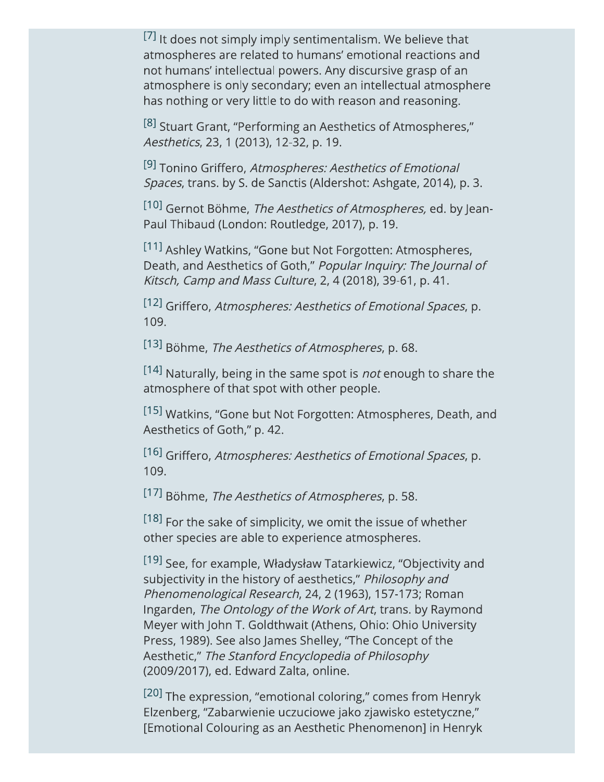[7] It does not simply imply sentimentalism. We believe that atmospheres are related to humans' emotional reactions and not humans' intellectual powers. Any discursive grasp of an atmosphere is only secondary; even an intellectual atmosphere has nothing or very little to do with reason and reasoning.

[8] Stuart Grant, "Performing an Aesthetics of Atmospheres," Aesthetics, 23, 1 (2013), 12-32, p. 19.

[9] Tonino Griffero, Atmospheres: Aesthetics of Emotional Spaces, trans. by S. de Sanctis (Aldershot: Ashgate, 2014), p. 3.

[10] Gernot Böhme, The Aesthetics of Atmospheres, ed. by Jean-Paul Thibaud (London: Routledge, 2017), p. 19.

[11] Ashley Watkins, "Gone but Not Forgotten: Atmospheres, Death, and Aesthetics of Goth," Popular Inquiry: The Journal of Kitsch, Camp and Mass Culture, 2, 4 (2018), 39-61, p. 41.

[12] Griffero, Atmospheres: Aesthetics of Emotional Spaces, p. 109.

[13] Böhme, The Aesthetics of Atmospheres, p. 68.

[14] Naturally, being in the same spot is *not* enough to share the atmosphere of that spot with other people.

[15] Watkins, "Gone but Not Forgotten: Atmospheres, Death, and Aesthetics of Goth," p. 42.

[16] Griffero, Atmospheres: Aesthetics of Emotional Spaces, p. 109.

[17] Böhme, The Aesthetics of Atmospheres, p. 58.

[18] For the sake of simplicity, we omit the issue of whether other species are able to experience atmospheres.

[19] See, for example, Władysław Tatarkiewicz, "Objectivity and subjectivity in the history of aesthetics," Philosophy and Phenomenological Research, 24, 2 (1963), 157-173; Roman Ingarden, The Ontology of the Work of Art, trans. by Raymond Meyer with John T. Goldthwait (Athens, Ohio: Ohio University Press, 1989). See also James Shelley, "The Concept of the Aesthetic," The Stanford Encyclopedia of Philosophy (2009/2017), ed. Edward Zalta, online.

<sup>[20]</sup> The expression, "emotional coloring," comes from Henryk Elzenberg, "Zabarwienie uczuciowe jako zjawisko estetyczne," [Emotional Colouring as an Aesthetic Phenomenon] in Henryk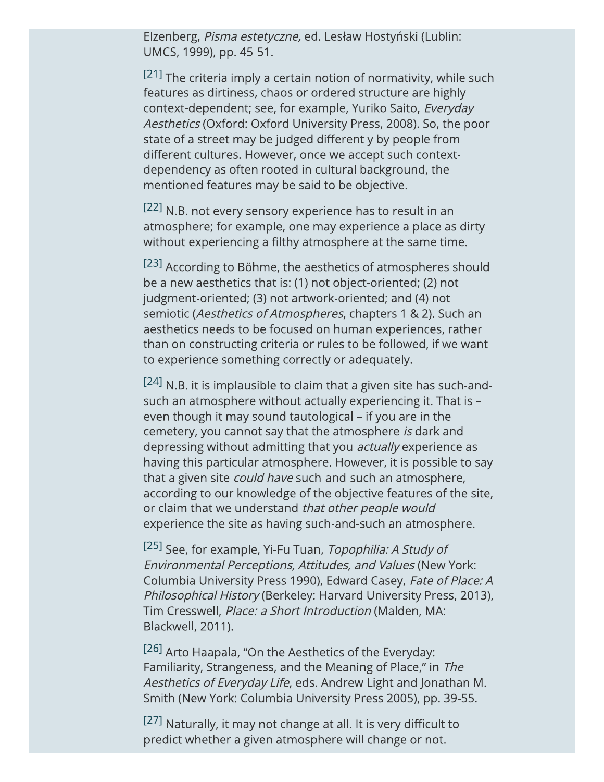Elzenberg, Pisma estetyczne, ed. Lesław Hostyński (Lublin: UMCS, 1999), pp. 45-51.

<sup>[21]</sup> The criteria imply a certain notion of normativity, while such features as dirtiness, chaos or ordered structure are highly context-dependent; see, for example, Yuriko Saito, Everyday Aesthetics (Oxford: Oxford University Press, 2008). So, the poor state of a street may be judged differently by people from different cultures. However, once we accept such contextdependency as often rooted in cultural background, the mentioned features may be said to be objective.

[22] N.B. not every sensory experience has to result in an atmosphere; for example, one may experience a place as dirty without experiencing a filthy atmosphere at the same time.

[23] According to Böhme, the aesthetics of atmospheres should be a new aesthetics that is: (1) not object-oriented; (2) not judgment-oriented; (3) not artwork-oriented; and (4) not semiotic (Aesthetics of Atmospheres, chapters 1 & 2). Such an aesthetics needs to be focused on human experiences, rather than on constructing criteria or rules to be followed, if we want to experience something correctly or adequately.

[24] N.B. it is implausible to claim that a given site has such-andsuch an atmosphere without actually experiencing it. That is even though it may sound tautological – if you are in the cemetery, you cannot say that the atmosphere is dark and depressing without admitting that you *actually* experience as having this particular atmosphere. However, it is possible to say that a given site *could have* such-and-such an atmosphere, according to our knowledge of the objective features of the site, or claim that we understand that other people would experience the site as having such-and-such an atmosphere.

[25] See, for example, Yi-Fu Tuan, Topophilia: A Study of Environmental Perceptions, Attitudes, and Values (New York: Columbia University Press 1990), Edward Casey, Fate of Place: A Philosophical History (Berkeley: Harvard University Press, 2013), Tim Cresswell, Place: a Short Introduction (Malden, MA: Blackwell, 2011).

<sup>[26]</sup> Arto Haapala, "On the Aesthetics of the Everyday: Familiarity, Strangeness, and the Meaning of Place," in The Aesthetics of Everyday Life, eds. Andrew Light and Jonathan M. Smith (New York: Columbia University Press 2005), pp. 39-55.

[27] Naturally, it may not change at all. It is very difficult to predict whether a given atmosphere will change or not.